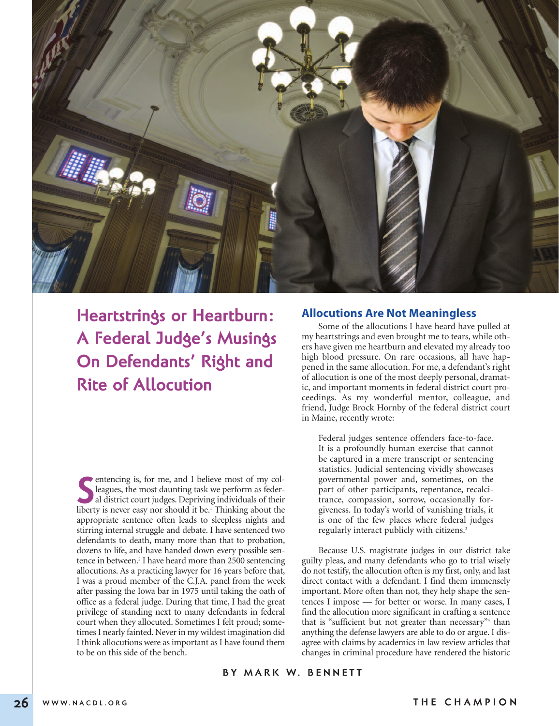

**Heartstrings or Heartburn: A Federal Judge's Musings On Defendants' Right and Rite of Allocution**

**S** entencing is, for me, and I believe most of my colleagues, the most daunting task we perform as federal district court judges. Depriving individuals of their liberty is never easy nor should it be.<sup>1</sup> Thinking about th entencing is, for me, and I believe most of my colleagues, the most daunting task we perform as federal district court judges. Depriving individuals of their appropriate sentence often leads to sleepless nights and stirring internal struggle and debate. I have sentenced two defendants to death, many more than that to probation, dozens to life, and have handed down every possible sentence in between. <sup>2</sup> I have heard more than 2500 sentencing allocutions. As a practicing lawyer for 16 years before that, I was a proud member of the C.J.A. panel from the week after passing the Iowa bar in 1975 until taking the oath of office as a federal judge. During that time, I had the great privilege of standing next to many defendants in federal court when they allocuted. Sometimes I felt proud; sometimes I nearly fainted. Never in my wildest imagination did I think allocutions were as important as I have found them to be on this side of the bench.

### **Allocutions Are Not Meaningless**

Some of the allocutions I have heard have pulled at my heartstrings and even brought me to tears, while others have given me heartburn and elevated my already too high blood pressure. On rare occasions, all have happened in the same allocution. For me, a defendant's right of allocution is one of the most deeply personal, dramatic, and important moments in federal district court proceedings. As my wonderful mentor, colleague, and friend, Judge Brock Hornby of the federal district court in Maine, recently wrote:

Federal judges sentence offenders face-to-face. It is a profoundly human exercise that cannot be captured in a mere transcript or sentencing statistics. Judicial sentencing vividly showcases governmental power and, sometimes, on the part of other participants, repentance, recalcitrance, compassion, sorrow, occasionally forgiveness. In today's world of vanishing trials, it is one of the few places where federal judges regularly interact publicly with citizens. 3

Because U.S. magistrate judges in our district take guilty pleas, and many defendants who go to trial wisely do not testify, the allocution often is my first, only, and last direct contact with a defendant. I find them immensely important. More often than not, they help shape the sentences I impose — for better or worse. In many cases, I find the allocution more significant in crafting a sentence that is "sufficient but not greater than necessary"<sup>4</sup> than anything the defense lawyers are able to do or argue. I disagree with claims by academics in law review articles that changes in criminal procedure have rendered the historic

## **B Y M A R K W. B E N N E T T**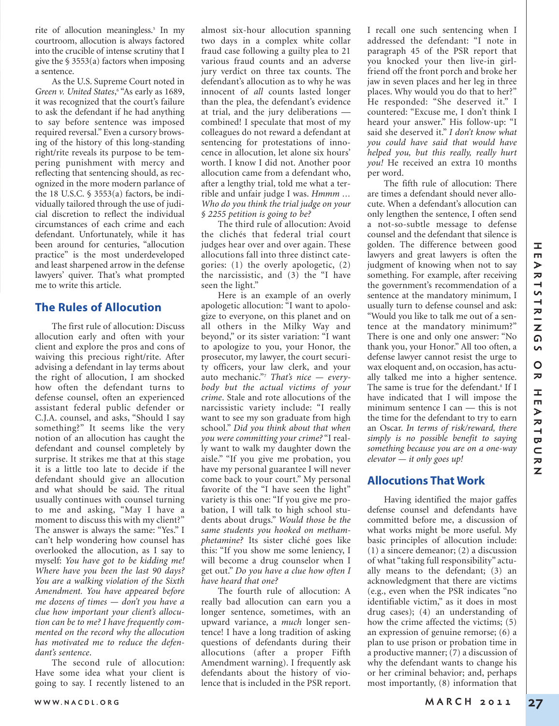rite of allocution meaningless. <sup>5</sup> In my courtroom, allocution is always factored into the crucible of intense scrutiny that I give the  $\S$  3553(a) factors when imposing a sentence.

As the U.S. Supreme Court noted in *Green v. United States*, <sup>6</sup> "As early as 1689, it was recognized that the court's failure to ask the defendant if he had anything to say before sentence was imposed required reversal." Even a cursory browsing of the history of this long-standing right/rite reveals its purpose to be tempering punishment with mercy and reflecting that sentencing should, as recognized in the more modern parlance of the 18 U.S.C.  $\frac{1}{9}$  3553(a) factors, be individually tailored through the use of judicial discretion to reflect the individual circumstances of each crime and each defendant. Unfortunately, while it has been around for centuries, "allocution practice" is the most underdeveloped and least sharpened arrow in the defense lawyers' quiver. That's what prompted me to write this article.

## **The Rules of Allocution**

The first rule of allocution: Discuss allocution early and often with your client and explore the pros and cons of waiving this precious right/rite. After advising a defendant in lay terms about the right of allocution, I am shocked how often the defendant turns to defense counsel, often an experienced assistant federal public defender or C.J.A. counsel, and asks, "Should I say something?" It seems like the very notion of an allocution has caught the defendant and counsel completely by surprise. It strikes me that at this stage it is a little too late to decide if the defendant should give an allocution and what should be said. The ritual usually continues with counsel turning to me and asking, "May I have a moment to discuss this with my client?" The answer is always the same: "Yes." I can't help wondering how counsel has overlooked the allocution, as I say to myself: *You have got to be kidding me! Where have you been the last 90 days? You are a walking violation of the Sixth Amendment. You have appeared before me dozens of times — don't you have a clue how important your client's allocution can be to me? I have frequently commented on the record why the allocution has motivated me to reduce the defendant's sentence*.

The second rule of allocution: Have some idea what your client is going to say. I recently listened to an

almost six-hour allocution spanning two days in a complex white collar fraud case following a guilty plea to 21 various fraud counts and an adverse jury verdict on three tax counts. The defendant's allocution as to why he was innocent of *all* counts lasted longer than the plea, the defendant's evidence at trial, and the jury deliberations combined! I speculate that most of my colleagues do not reward a defendant at sentencing for protestations of innocence in allocution, let alone six hours' worth. I know I did not. Another poor allocution came from a defendant who, after a lengthy trial, told me what a terrible and unfair judge I was. *Hmmm … Who do you think the trial judge on your § 2255 petition is going to be?*

The third rule of allocution: Avoid the clichés that federal trial court judges hear over and over again. These allocutions fall into three distinct categories: (1) the overly apologetic, (2) the narcissistic, and (3) the "I have seen the light."

Here is an example of an overly apologetic allocution: "I want to apologize to everyone, on this planet and on all others in the Milky Way and beyond," or its sister variation: "I want to apologize to you, your Honor, the prosecutor, my lawyer, the court security officers, your law clerk, and your auto mechanic."7 *That's nice — everybody but the actual victims of your crime*. Stale and rote allocutions of the narcissistic variety include: "I really want to see my son graduate from high school." *Did you think about that when you were committing your crime?* "I really want to walk my daughter down the aisle." "If you give me probation, you have my personal guarantee I will never come back to your court." My personal favorite of the "I have seen the light" variety is this one: "If you give me probation, I will talk to high school students about drugs." *Would those be the same students you hooked on methamphetamine?* Its sister cliché goes like this: "If you show me some leniency, I will become a drug counselor when I get out." *Do you have a clue how often I have heard that one?*

The fourth rule of allocution: A really bad allocution can earn you a longer sentence, sometimes, with an upward variance, a *much* longer sentence! I have a long tradition of asking questions of defendants during their allocutions (after a proper Fifth Amendment warning). I frequently ask defendants about the history of violence that is included in the PSR report.

I recall one such sentencing when I addressed the defendant: "I note in paragraph 45 of the PSR report that you knocked your then live-in girlfriend off the front porch and broke her jaw in seven places and her leg in three places. Why would you do that to her?" He responded: "She deserved it." I countered: "Excuse me, I don't think I heard your answer." His follow-up: "I said she deserved it." *I don't know what you could have said that would have helped you, but this really, really hurt you!* He received an extra 10 months per word.

The fifth rule of allocution: There are times a defendant should never allocute. When a defendant's allocution can only lengthen the sentence, I often send a not-so-subtle message to defense counsel and the defendant that silence is golden. The difference between good lawyers and great lawyers is often the judgment of knowing when not to say something. For example, after receiving the government's recommendation of a sentence at the mandatory minimum, I usually turn to defense counsel and ask: "Would you like to talk me out of a sentence at the mandatory minimum?" There is one and only one answer: "No thank you, your Honor." All too often, a defense lawyer cannot resist the urge to wax eloquent and, on occasion, has actually talked me into a higher sentence. The same is true for the defendant. <sup>8</sup> If I have indicated that I will impose the minimum sentence I can — this is not the time for the defendant to try to earn an Oscar. *In terms of risk/reward, there simply is no possible benefit to saying something because you are on a one-way elevator — it only goes up!*

# **Allocutions That Work**

Having identified the major gaffes defense counsel and defendants have committed before me, a discussion of what works might be more useful. My basic principles of allocution include: (1) a sincere demeanor; (2) a discussion of what "taking full responsibility" actually means to the defendant; (3) an acknowledgment that there are victims (e.g., even when the PSR indicates "no identifiable victim," as it does in most drug cases); (4) an understanding of how the crime affected the victims; (5) an expression of genuine remorse; (6) a plan to use prison or probation time in a productive manner; (7) a discussion of why the defendant wants to change his or her criminal behavior; and, perhaps most importantly, (8) information that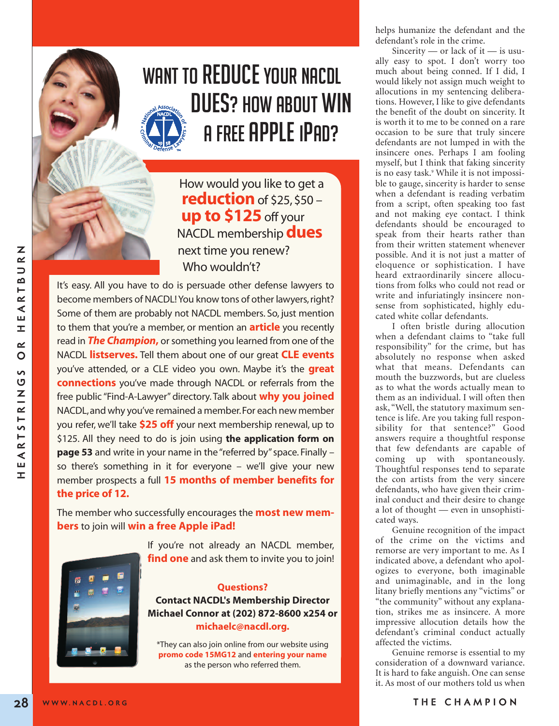

# WANT TO REDUCE YOUR NACDL DUES? HOW ABOUT WIN **A FREE APPLE IPAD?**

How would you like to get a **reduction** of \$25, \$50 – **up to \$125**off your NACDL membership**dues** next time you renew? Who wouldn't?

It's easy. All you have to do is persuade other defense lawyers to become members of NACDL! You know tons of other lawyers, right? Some of them are probably not NACDL members. So, just mention to them that you're a member, or mention an **article** you recently read in **The Champion**, or something you learned from one of the NACDL **listserves.** Tell them about one of our great **CLE events** you've attended, or a CLE video you own. Maybe it's the **great connections** you've made through NACDL or referrals from the free public "Find-A-Lawyer" directory. Talk about **why you joined** NACDL,and why you've remained a member.For each new member you refer, we'll take **\$25 off** your next membership renewal, up to \$125. All they need to do is join using **the application form on page 53** and write in your name in the "referred by" space. Finally – so there's something in it for everyone – we'll give your new member prospects a full **15 months of member benefits for the price of 12.**

The member who successfully encourages the **most new members** to join will **win a free Apple iPad!**

> If you're not already an NACDL member, **find one** and ask them to invite you to join!



#### **Questions?**

**Contact NACDL's Membership Director Michael Connor at (202) 872-8600 x254 or michaelc@nacdl.org.**

\*They can also join online from our website using **promo code 15MG12** and **entering your name** as the person who referred them.

helps humanize the defendant and the defendant's role in the crime.

Sincerity — or lack of it — is usually easy to spot. I don't worry too much about being conned. If I did, I would likely not assign much weight to allocutions in my sentencing deliberations. However, I like to give defendants the benefit of the doubt on sincerity. It is worth it to me to be conned on a rare occasion to be sure that truly sincere defendants are not lumped in with the insincere ones. Perhaps I am fooling myself, but I think that faking sincerity is no easy task. <sup>9</sup> While it is not impossible to gauge, sincerity is harder to sense when a defendant is reading verbatim from a script, often speaking too fast and not making eye contact. I think defendants should be encouraged to speak from their hearts rather than from their written statement whenever possible. And it is not just a matter of eloquence or sophistication. I have heard extraordinarily sincere allocutions from folks who could not read or write and infuriatingly insincere nonsense from sophisticated, highly educated white collar defendants.

I often bristle during allocution when a defendant claims to "take full responsibility" for the crime, but has absolutely no response when asked what that means. Defendants can mouth the buzzwords, but are clueless as to what the words actually mean to them as an individual. I will often then ask, "Well, the statutory maximum sentence is life. Are you taking full responsibility for that sentence?" Good answers require a thoughtful response that few defendants are capable of coming up with spontaneously. Thoughtful responses tend to separate the con artists from the very sincere defendants, who have given their criminal conduct and their desire to change a lot of thought — even in unsophisticated ways.

Genuine recognition of the impact of the crime on the victims and remorse are very important to me. As I indicated above, a defendant who apologizes to everyone, both imaginable and unimaginable, and in the long litany briefly mentions any "victims" or "the community" without any explanation, strikes me as insincere. A more impressive allocution details how the defendant's criminal conduct actually affected the victims.

Genuine remorse is essential to my consideration of a downward variance. It is hard to fake anguish. One can sense it. As most of our mothers told us when